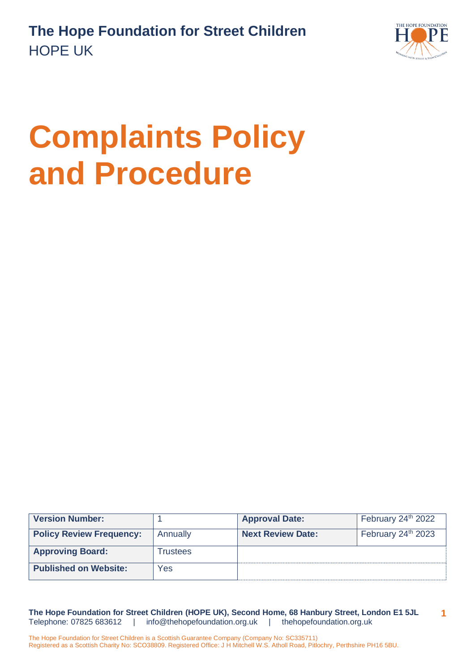

# **Complaints Policy and Procedure**

| <b>Version Number:</b>          |          | <b>Approval Date:</b>    | February 24th 2022             |
|---------------------------------|----------|--------------------------|--------------------------------|
| <b>Policy Review Frequency:</b> | Annually | <b>Next Review Date:</b> | February 24 <sup>th</sup> 2023 |
| <b>Approving Board:</b>         | Trustees |                          |                                |
| <b>Published on Website:</b>    | Yes      |                          |                                |

**The Hope Foundation for Street Children (HOPE UK), Second Home, 68 Hanbury Street, London E1 5JL** Telephone: 07825 683612 | [info@thehopefoundation.org.uk](mailto:info@thehopefoundation.org.uk) | thehopefoundation.org.uk **1**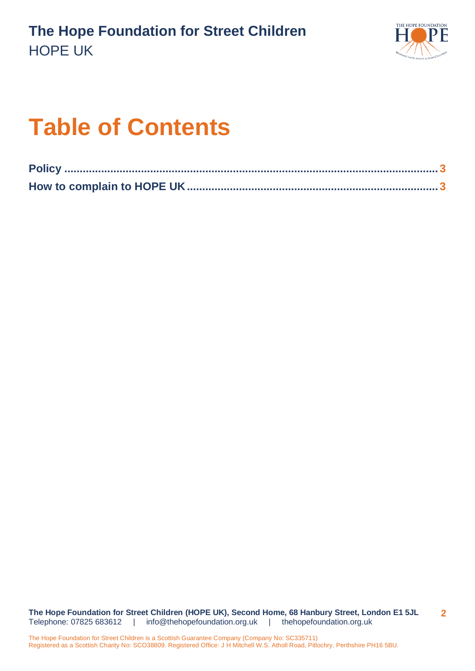

## **Table of Contents**

**The Hope Foundation for Street Children (HOPE UK), Second Home, 68 Hanbury Street, London E1 5JL** Telephone: 07825 683612 | [info@thehopefoundation.org.uk](mailto:info@thehopefoundation.org.uk) | thehopefoundation.org.uk **2**